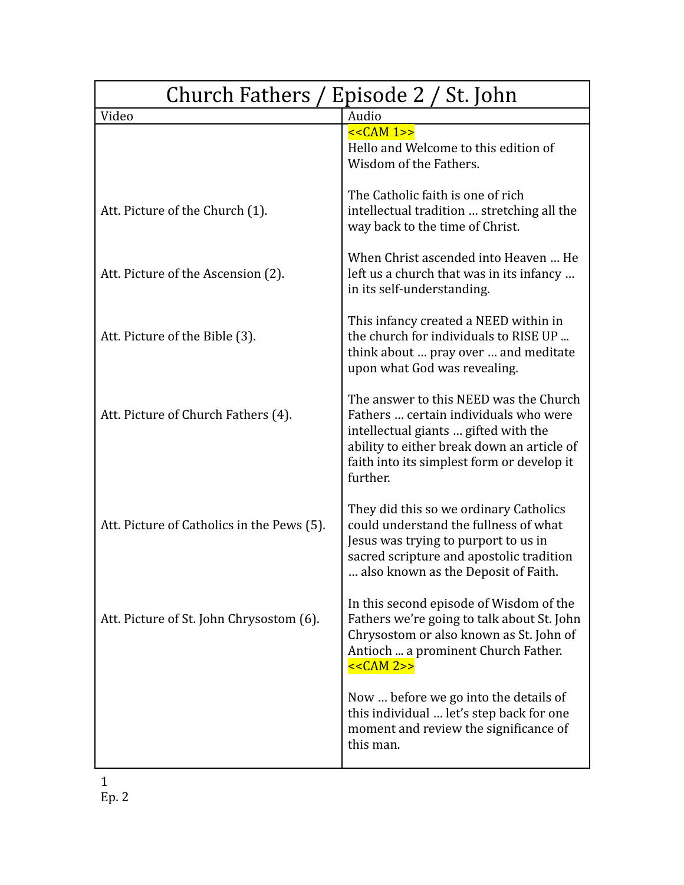| Church Fathers / Episode 2 / St. John      |                                                                                                                                                                                                                                 |
|--------------------------------------------|---------------------------------------------------------------------------------------------------------------------------------------------------------------------------------------------------------------------------------|
| Video                                      | Audio                                                                                                                                                                                                                           |
|                                            | $<<CAM 1>>$<br>Hello and Welcome to this edition of<br>Wisdom of the Fathers.                                                                                                                                                   |
| Att. Picture of the Church (1).            | The Catholic faith is one of rich<br>intellectual tradition  stretching all the<br>way back to the time of Christ.                                                                                                              |
| Att. Picture of the Ascension (2).         | When Christ ascended into Heaven  He<br>left us a church that was in its infancy<br>in its self-understanding.                                                                                                                  |
| Att. Picture of the Bible (3).             | This infancy created a NEED within in<br>the church for individuals to RISE UP<br>think about  pray over  and meditate<br>upon what God was revealing.                                                                          |
| Att. Picture of Church Fathers (4).        | The answer to this NEED was the Church<br>Fathers  certain individuals who were<br>intellectual giants  gifted with the<br>ability to either break down an article of<br>faith into its simplest form or develop it<br>further. |
| Att. Picture of Catholics in the Pews (5). | They did this so we ordinary Catholics<br>could understand the fullness of what<br>Jesus was trying to purport to us in<br>sacred scripture and apostolic tradition<br>also known as the Deposit of Faith.                      |
| Att. Picture of St. John Chrysostom (6).   | In this second episode of Wisdom of the<br>Fathers we're going to talk about St. John<br>Chrysostom or also known as St. John of<br>Antioch  a prominent Church Father.<br>$<<CAM 2>>$                                          |
|                                            | Now  before we go into the details of<br>this individual  let's step back for one<br>moment and review the significance of<br>this man.                                                                                         |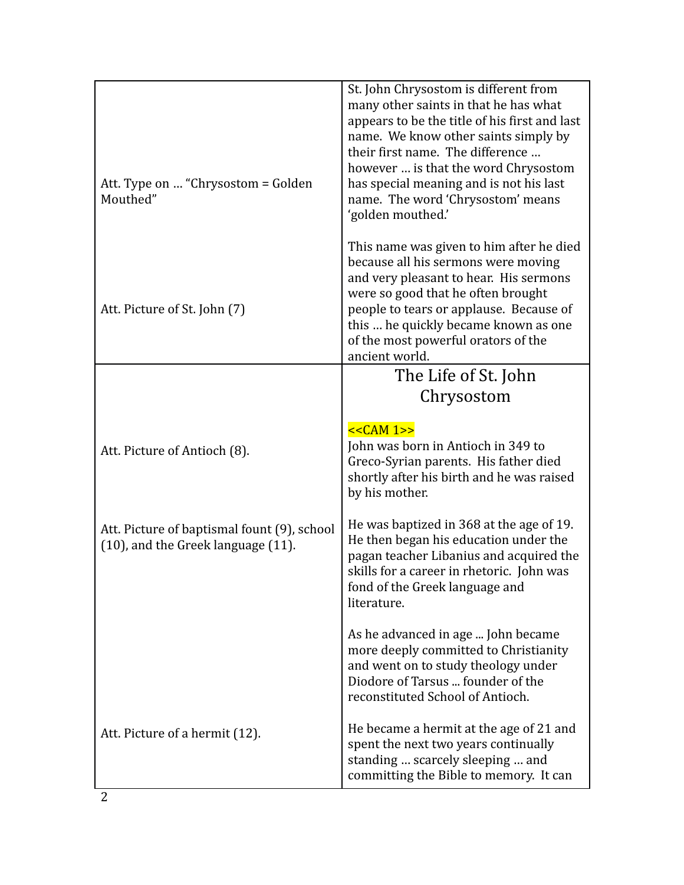| Att. Type on  "Chrysostom = Golden<br>Mouthed"                                    | St. John Chrysostom is different from<br>many other saints in that he has what<br>appears to be the title of his first and last<br>name. We know other saints simply by<br>their first name. The difference<br>however  is that the word Chrysostom<br>has special meaning and is not his last<br>name. The word 'Chrysostom' means<br>'golden mouthed.' |
|-----------------------------------------------------------------------------------|----------------------------------------------------------------------------------------------------------------------------------------------------------------------------------------------------------------------------------------------------------------------------------------------------------------------------------------------------------|
| Att. Picture of St. John (7)                                                      | This name was given to him after he died<br>because all his sermons were moving<br>and very pleasant to hear. His sermons<br>were so good that he often brought<br>people to tears or applause. Because of<br>this  he quickly became known as one<br>of the most powerful orators of the<br>ancient world.                                              |
|                                                                                   | The Life of St. John                                                                                                                                                                                                                                                                                                                                     |
|                                                                                   | Chrysostom                                                                                                                                                                                                                                                                                                                                               |
| Att. Picture of Antioch (8).                                                      | $<<CAM 1>>$<br>John was born in Antioch in 349 to<br>Greco-Syrian parents. His father died<br>shortly after his birth and he was raised<br>by his mother.                                                                                                                                                                                                |
| Att. Picture of baptismal fount (9), school<br>(10), and the Greek language (11). | He was baptized in 368 at the age of 19.<br>He then began his education under the<br>pagan teacher Libanius and acquired the<br>skills for a career in rhetoric. John was<br>fond of the Greek language and<br>literature.                                                                                                                               |
|                                                                                   | As he advanced in age  John became<br>more deeply committed to Christianity<br>and went on to study theology under<br>Diodore of Tarsus  founder of the<br>reconstituted School of Antioch.                                                                                                                                                              |
| Att. Picture of a hermit (12).                                                    | He became a hermit at the age of 21 and<br>spent the next two years continually<br>standing  scarcely sleeping  and<br>committing the Bible to memory. It can                                                                                                                                                                                            |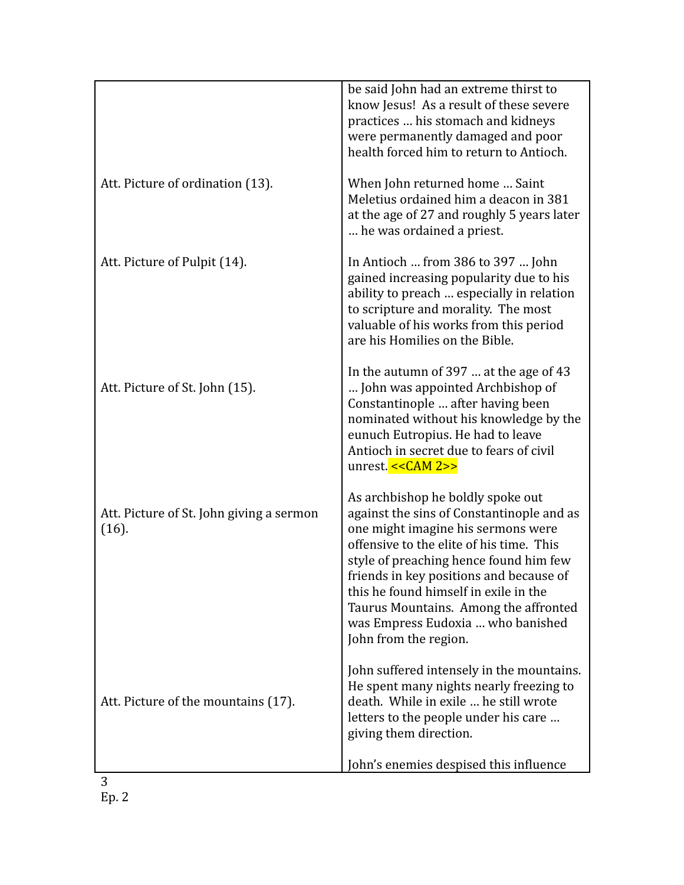|                                                   | be said John had an extreme thirst to<br>know Jesus! As a result of these severe<br>practices  his stomach and kidneys<br>were permanently damaged and poor<br>health forced him to return to Antioch.                                                                                                                                                                                                |
|---------------------------------------------------|-------------------------------------------------------------------------------------------------------------------------------------------------------------------------------------------------------------------------------------------------------------------------------------------------------------------------------------------------------------------------------------------------------|
| Att. Picture of ordination (13).                  | When John returned home  Saint<br>Meletius ordained him a deacon in 381<br>at the age of 27 and roughly 5 years later<br>he was ordained a priest.                                                                                                                                                                                                                                                    |
| Att. Picture of Pulpit (14).                      | In Antioch  from 386 to 397  John<br>gained increasing popularity due to his<br>ability to preach  especially in relation<br>to scripture and morality. The most<br>valuable of his works from this period<br>are his Homilies on the Bible.                                                                                                                                                          |
| Att. Picture of St. John (15).                    | In the autumn of 397  at the age of 43<br>John was appointed Archbishop of<br>Constantinople  after having been<br>nominated without his knowledge by the<br>eunuch Eutropius. He had to leave<br>Antioch in secret due to fears of civil<br>unrest. $<<<$ CAM 2>>                                                                                                                                    |
| Att. Picture of St. John giving a sermon<br>(16). | As archbishop he boldly spoke out<br>against the sins of Constantinople and as<br>one might imagine his sermons were<br>offensive to the elite of his time. This<br>style of preaching hence found him few<br>friends in key positions and because of<br>this he found himself in exile in the<br>Taurus Mountains. Among the affronted<br>was Empress Eudoxia  who banished<br>John from the region. |
| Att. Picture of the mountains (17).               | John suffered intensely in the mountains.<br>He spent many nights nearly freezing to<br>death. While in exile  he still wrote<br>letters to the people under his care<br>giving them direction.<br>John's enemies despised this influence                                                                                                                                                             |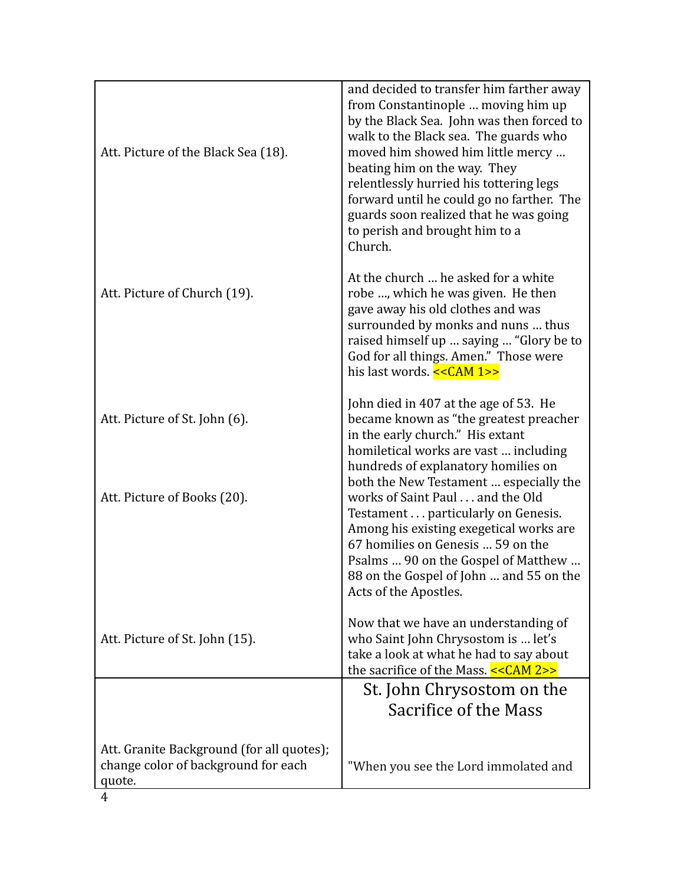| Att. Picture of the Black Sea (18).                                                        | and decided to transfer him farther away<br>from Constantinople  moving him up<br>by the Black Sea. John was then forced to<br>walk to the Black sea. The guards who<br>moved him showed him little mercy<br>beating him on the way. They<br>relentlessly hurried his tottering legs<br>forward until he could go no farther. The<br>guards soon realized that he was going<br>to perish and brought him to a<br>Church. |
|--------------------------------------------------------------------------------------------|--------------------------------------------------------------------------------------------------------------------------------------------------------------------------------------------------------------------------------------------------------------------------------------------------------------------------------------------------------------------------------------------------------------------------|
| Att. Picture of Church (19).                                                               | At the church  he asked for a white<br>robe , which he was given. He then<br>gave away his old clothes and was<br>surrounded by monks and nuns  thus<br>raised himself up  saying  "Glory be to<br>God for all things. Amen." Those were<br>his last words. << CAM 1>>                                                                                                                                                   |
| Att. Picture of St. John (6).                                                              | John died in 407 at the age of 53. He<br>became known as "the greatest preacher<br>in the early church." His extant<br>homiletical works are vast  including<br>hundreds of explanatory homilies on<br>both the New Testament  especially the                                                                                                                                                                            |
| Att. Picture of Books (20).                                                                | works of Saint Paul and the Old<br>Testament particularly on Genesis.<br>Among his existing exegetical works are<br>67 homilies on Genesis  59 on the<br>Psalms  90 on the Gospel of Matthew<br>88 on the Gospel of John  and 55 on the<br>Acts of the Apostles.                                                                                                                                                         |
| Att. Picture of St. John (15).                                                             | Now that we have an understanding of<br>who Saint John Chrysostom is  let's<br>take a look at what he had to say about<br>the sacrifice of the Mass. << CAM 2>>                                                                                                                                                                                                                                                          |
|                                                                                            | St. John Chrysostom on the                                                                                                                                                                                                                                                                                                                                                                                               |
|                                                                                            | Sacrifice of the Mass                                                                                                                                                                                                                                                                                                                                                                                                    |
| Att. Granite Background (for all quotes);<br>change color of background for each<br>quote. | "When you see the Lord immolated and                                                                                                                                                                                                                                                                                                                                                                                     |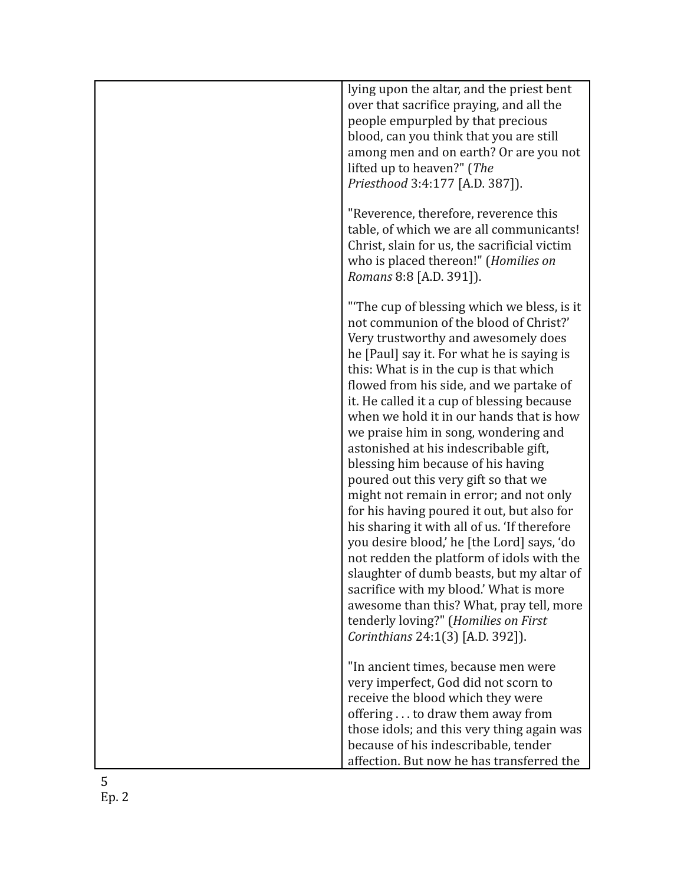| lying upon the altar, and the priest bent<br>over that sacrifice praying, and all the<br>people empurpled by that precious<br>blood, can you think that you are still<br>among men and on earth? Or are you not<br>lifted up to heaven?" (The<br>Priesthood 3:4:177 [A.D. 387]).                                                                                                                                                                                                                                                                                                                                                                                                                                                                                                                                                                                                                                                                                           |
|----------------------------------------------------------------------------------------------------------------------------------------------------------------------------------------------------------------------------------------------------------------------------------------------------------------------------------------------------------------------------------------------------------------------------------------------------------------------------------------------------------------------------------------------------------------------------------------------------------------------------------------------------------------------------------------------------------------------------------------------------------------------------------------------------------------------------------------------------------------------------------------------------------------------------------------------------------------------------|
| "Reverence, therefore, reverence this<br>table, of which we are all communicants!<br>Christ, slain for us, the sacrificial victim<br>who is placed thereon!" (Homilies on<br>Romans 8:8 [A.D. 391]).                                                                                                                                                                                                                                                                                                                                                                                                                                                                                                                                                                                                                                                                                                                                                                       |
| "The cup of blessing which we bless, is it<br>not communion of the blood of Christ?'<br>Very trustworthy and awesomely does<br>he [Paul] say it. For what he is saying is<br>this: What is in the cup is that which<br>flowed from his side, and we partake of<br>it. He called it a cup of blessing because<br>when we hold it in our hands that is how<br>we praise him in song, wondering and<br>astonished at his indescribable gift,<br>blessing him because of his having<br>poured out this very gift so that we<br>might not remain in error; and not only<br>for his having poured it out, but also for<br>his sharing it with all of us. 'If therefore<br>you desire blood,' he [the Lord] says, 'do<br>not redden the platform of idols with the<br>slaughter of dumb beasts, but my altar of<br>sacrifice with my blood.' What is more<br>awesome than this? What, pray tell, more<br>tenderly loving?" (Homilies on First<br>Corinthians 24:1(3) [A.D. 392]). |
| "In ancient times, because men were<br>very imperfect, God did not scorn to<br>receive the blood which they were<br>offering to draw them away from<br>those idols; and this very thing again was<br>because of his indescribable, tender<br>affection. But now he has transferred the                                                                                                                                                                                                                                                                                                                                                                                                                                                                                                                                                                                                                                                                                     |